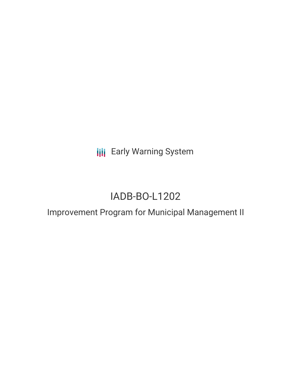**III** Early Warning System

# IADB-BO-L1202

# Improvement Program for Municipal Management II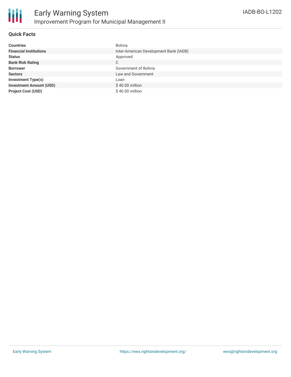

## **Quick Facts**

| <b>Countries</b>               | <b>Bolivia</b>                         |
|--------------------------------|----------------------------------------|
| <b>Financial Institutions</b>  | Inter-American Development Bank (IADB) |
| <b>Status</b>                  | Approved                               |
| <b>Bank Risk Rating</b>        | C                                      |
| <b>Borrower</b>                | Government of Bolivia                  |
| <b>Sectors</b>                 | Law and Government                     |
| <b>Investment Type(s)</b>      | Loan                                   |
| <b>Investment Amount (USD)</b> | \$40.00 million                        |
| <b>Project Cost (USD)</b>      | \$40.00 million                        |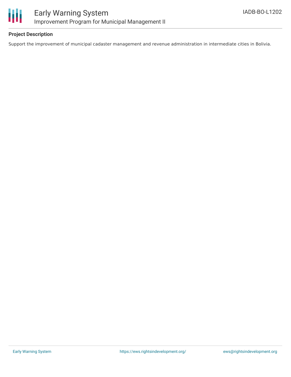



#### **Project Description**

Support the improvement of municipal cadaster management and revenue administration in intermediate cities in Bolivia.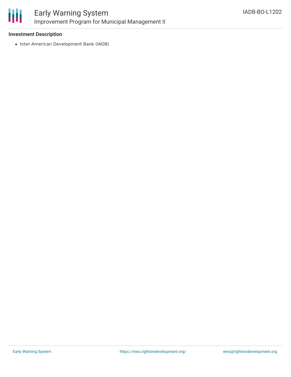

## **Investment Description**

• Inter-American Development Bank (IADB)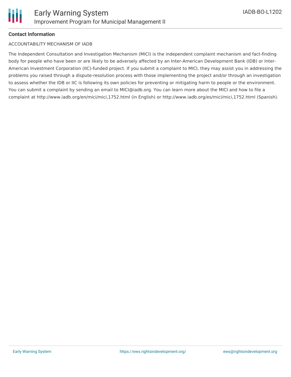

## **Contact Information**

#### ACCOUNTABILITY MECHANISM OF IADB

The Independent Consultation and Investigation Mechanism (MICI) is the independent complaint mechanism and fact-finding body for people who have been or are likely to be adversely affected by an Inter-American Development Bank (IDB) or Inter-American Investment Corporation (IIC)-funded project. If you submit a complaint to MICI, they may assist you in addressing the problems you raised through a dispute-resolution process with those implementing the project and/or through an investigation to assess whether the IDB or IIC is following its own policies for preventing or mitigating harm to people or the environment. You can submit a complaint by sending an email to MICI@iadb.org. You can learn more about the MICI and how to file a complaint at http://www.iadb.org/en/mici/mici,1752.html (in English) or http://www.iadb.org/es/mici/mici,1752.html (Spanish).